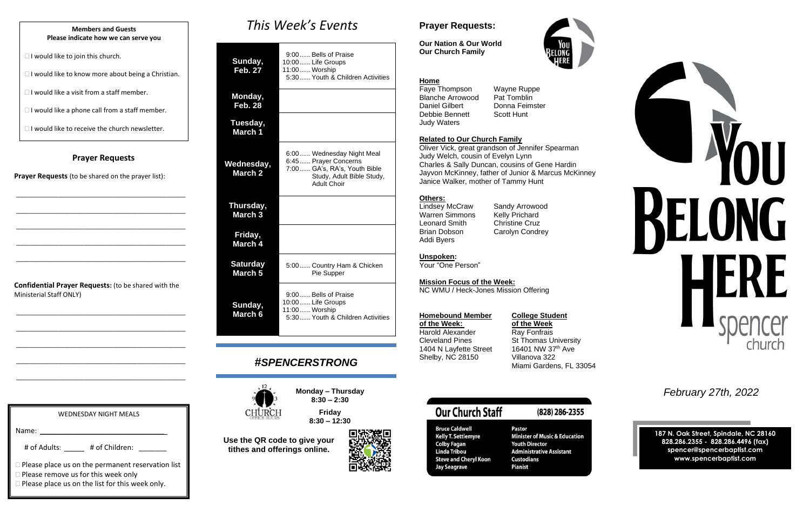### **Prayer Requests**

**Prayer Requests** (to be shared on the prayer list):

\_\_\_\_\_\_\_\_\_\_\_\_\_\_\_\_\_\_\_\_\_\_\_\_\_\_\_\_\_\_\_\_\_\_\_\_\_\_\_\_\_\_\_\_\_\_\_\_\_\_\_\_

\_\_\_\_\_\_\_\_\_\_\_\_\_\_\_\_\_\_\_\_\_\_\_\_\_\_\_\_\_\_\_\_\_\_\_\_\_\_\_\_\_\_\_\_\_\_\_\_\_\_\_\_

\_\_\_\_\_\_\_\_\_\_\_\_\_\_\_\_\_\_\_\_\_\_\_\_\_\_\_\_\_\_\_\_\_\_\_\_\_\_\_\_\_\_\_\_\_\_\_\_\_\_\_\_

\_\_\_\_\_\_\_\_\_\_\_\_\_\_\_\_\_\_\_\_\_\_\_\_\_\_\_\_\_\_\_\_\_\_\_\_\_\_\_\_\_\_\_\_\_\_\_\_\_\_\_\_

\_\_\_\_\_\_\_\_\_\_\_\_\_\_\_\_\_\_\_\_\_\_\_\_\_\_\_\_\_\_\_\_\_\_\_\_\_\_\_\_\_\_\_\_\_\_\_\_\_\_\_\_

**Confidential Prayer Requests:** (to be shared with the Ministerial Staff ONLY)

\_\_\_\_\_\_\_\_\_\_\_\_\_\_\_\_\_\_\_\_\_\_\_\_\_\_\_\_\_\_\_\_\_\_\_\_\_\_\_\_\_\_\_\_\_\_\_\_\_\_\_\_

\_\_\_\_\_\_\_\_\_\_\_\_\_\_\_\_\_\_\_\_\_\_\_\_\_\_\_\_\_\_\_\_\_\_\_\_\_\_\_\_\_\_\_\_\_\_\_\_\_\_\_\_

\_\_\_\_\_\_\_\_\_\_\_\_\_\_\_\_\_\_\_\_\_\_\_\_\_\_\_\_\_\_\_\_\_\_\_\_\_\_\_\_\_\_\_\_\_\_\_\_\_\_\_\_

\_\_\_\_\_\_\_\_\_\_\_\_\_\_\_\_\_\_\_\_\_\_\_\_\_\_\_\_\_\_\_\_\_\_\_\_\_\_\_\_\_\_\_\_\_\_\_\_\_\_\_\_

\_\_\_\_\_\_\_\_\_\_\_\_\_\_\_\_\_\_\_\_\_\_\_\_\_\_\_\_\_\_\_\_\_\_\_\_\_\_\_\_\_\_\_\_\_\_\_\_\_\_\_\_

*This Week's Events*

| Sunday,<br><b>Feb. 27</b>             | 9:00 Bells of Praise<br>10:00 Life Groups<br>11:00 Worship<br>5:30 Youth & Children Activities                                        |
|---------------------------------------|---------------------------------------------------------------------------------------------------------------------------------------|
| Monday,<br>Feb. 28                    |                                                                                                                                       |
| Tuesday,<br>March 1                   |                                                                                                                                       |
| Wednesday,<br><b>March 2</b>          | 6:00 Wednesday Night Meal<br>6:45  Prayer Concerns<br>7:00 GA's, RA's, Youth Bible<br>Study, Adult Bible Study,<br><b>Adult Choir</b> |
| Thursday,<br>March <sub>3</sub>       |                                                                                                                                       |
| Friday,<br>March 4                    |                                                                                                                                       |
| <b>Saturday</b><br>March <sub>5</sub> | 5:00 Country Ham & Chicken<br>Pie Supper                                                                                              |
|                                       |                                                                                                                                       |

**Sunday, March 6** 9:00...... Bells of Praise 10:00...... Life Groups 11:00...... Worship 5:30...... Youth & Children Activities

# *#SPENCERSTRONG*



**Monday – Thursday 8:30 – 2:30**





**Use the QR code to give your tithes and offerings online.**



# **Prayer Requests:**

**Our Nation & Our World Our Church Family**



### **Home**

Faye Thompson Wayne Ruppe Blanche Arrowood Pat Tomblin<br>Daniel Gilbert Donna Feims Debbie Bennett Scott Hunt Judy Waters

Donna Feimster

### **Related to Our Church Family**

Oliver Vick, great grandson of Jennifer Spearman Judy Welch, cousin of Evelyn Lynn Charles & Sally Duncan, cousins of Gene Hardin Jayvon McKinney, father of Junior & Marcus McKinney Janice Walker, mother of Tammy Hunt

### **Others:**

Lindsey McCraw Sandy Arrowood Warren Simmons Kelly Prichard Leonard Smith Christine Cruz Brian Dobson Carolyn Condrey Addi Byers

### **Unspoken:**

Your "One Person"

**Mission Focus of the Week:**

NC WMU / Heck-Jones Mission Offering

### **Homebound Member College Student**

**of the Week: of the Week** Harold Alexander **Ray Fonfrais** Cleveland Pines St Thomas University 1404 N Layfette Street 16401 NW 37<sup>th</sup> Ave Shelby, NC 28150 Villanova 322 Miami Gardens, FL 33054

# **Our Church Staff**

### (828) 286-2355

Pastor **Minister of Music & Education Youth Director Administrative Assistant Custodians Pianist** 

**Bruce Caldwell Kelly T. Settlemyre Colby Fagan<br>Linda Tribou Steve and Cheryl Koon Jay Seagrave** 

*February 27th, 2022*

**187 N. Oak Street, Spindale, NC 28160 828.286.2355 - 828.286.4496 (fax) spencer@spencerbaptist.com www.spencerbaptist.com**

### **Members and Guests Please indicate how we can serve you**

 $\Box$  I would like to join this church.

 $\Box$  I would like to know more about being a Christian.

 $\Box$  I would like a visit from a staff member.

 $\Box$  I would like a phone call from a staff member.

 $\Box$  I would like to receive the church newsletter.

WEDNESDAY NIGHT MEALS

# of Adults: \_\_\_\_\_ # of Children: \_\_\_\_\_\_

**Please place us on the list for this week only.** 

□ Please remove us for this week only

**Please place us on the permanent reservation list** 

Name: